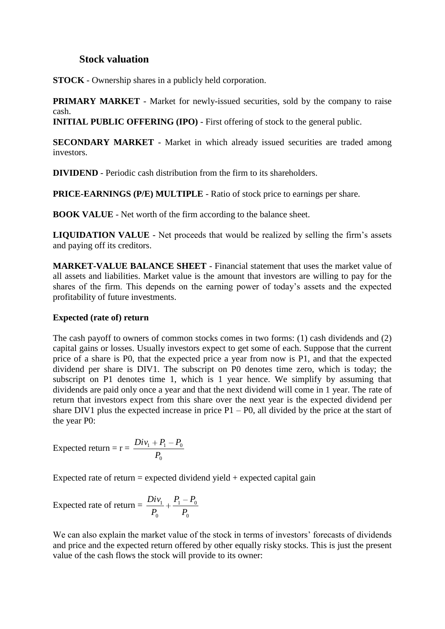## **Stock valuation**

**STOCK** - Ownership shares in a publicly held corporation.

**PRIMARY MARKET** - Market for newly-issued securities, sold by the company to raise cash.

**INITIAL PUBLIC OFFERING (IPO)** - First offering of stock to the general public.

**SECONDARY MARKET** - Market in which already issued securities are traded among investors.

**DIVIDEND** - Periodic cash distribution from the firm to its shareholders.

**PRICE-EARNINGS (P/E) MULTIPLE** - Ratio of stock price to earnings per share.

**BOOK VALUE** - Net worth of the firm according to the balance sheet.

**LIQUIDATION VALUE** - Net proceeds that would be realized by selling the firm's assets and paying off its creditors.

**MARKET-VALUE BALANCE SHEET** - Financial statement that uses the market value of all assets and liabilities. Market value is the amount that investors are willing to pay for the shares of the firm. This depends on the earning power of today's assets and the expected profitability of future investments.

## **Expected (rate of) return**

The cash payoff to owners of common stocks comes in two forms: (1) cash dividends and (2) capital gains or losses. Usually investors expect to get some of each. Suppose that the current price of a share is P0, that the expected price a year from now is P1, and that the expected dividend per share is DIV1. The subscript on P0 denotes time zero, which is today; the subscript on P1 denotes time 1, which is 1 year hence. We simplify by assuming that dividends are paid only once a year and that the next dividend will come in 1 year. The rate of return that investors expect from this share over the next year is the expected dividend per share DIV1 plus the expected increase in price  $P1 - P0$ , all divided by the price at the start of the year P0:

Expected return = 
$$
r = \frac{Div_1 + P_1 - P_0}{P_0}
$$

Expected rate of return  $=$  expected dividend yield  $+$  expected capital gain

Expected rate of return = 
$$
\frac{Div_1}{P_0} + \frac{P_1 - P_0}{P_0}
$$

We can also explain the market value of the stock in terms of investors' forecasts of dividends and price and the expected return offered by other equally risky stocks. This is just the present value of the cash flows the stock will provide to its owner: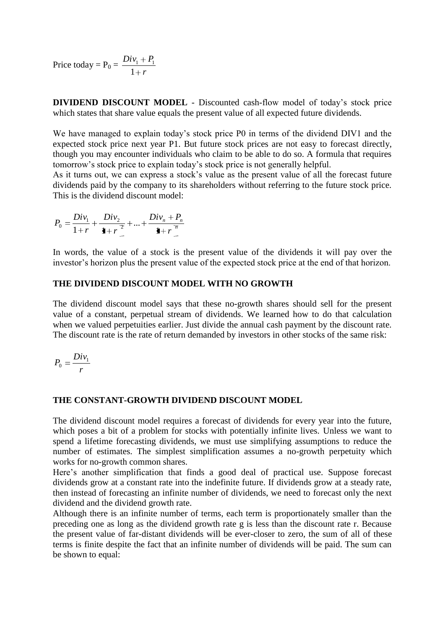Price today =  $P_0$  = *r*  $Div_1 + P_1$ 1  $1 + 1$ 

**DIVIDEND DISCOUNT MODEL** - Discounted cash-flow model of today's stock price which states that share value equals the present value of all expected future dividends.

We have managed to explain today's stock price P0 in terms of the dividend DIV1 and the expected stock price next year P1. But future stock prices are not easy to forecast directly, though you may encounter individuals who claim to be able to do so. A formula that requires tomorrow's stock price to explain today's stock price is not generally helpful.

As it turns out, we can express a stock's value as the present value of all the forecast future dividends paid by the company to its shareholders without referring to the future stock price. This is the dividend discount model:

$$
P_0 = \frac{Div_1}{1+r} + \frac{Div_2}{1+r^2} + \dots + \frac{Div_n + P_n}{1+r^2}
$$

In words, the value of a stock is the present value of the dividends it will pay over the investor's horizon plus the present value of the expected stock price at the end of that horizon.

## **THE DIVIDEND DISCOUNT MODEL WITH NO GROWTH**

The dividend discount model says that these no-growth shares should sell for the present value of a constant, perpetual stream of dividends. We learned how to do that calculation when we valued perpetuities earlier. Just divide the annual cash payment by the discount rate. The discount rate is the rate of return demanded by investors in other stocks of the same risk:

$$
P_0=\frac{Div_1}{r}
$$

#### **THE CONSTANT-GROWTH DIVIDEND DISCOUNT MODEL**

The dividend discount model requires a forecast of dividends for every year into the future, which poses a bit of a problem for stocks with potentially infinite lives. Unless we want to spend a lifetime forecasting dividends, we must use simplifying assumptions to reduce the number of estimates. The simplest simplification assumes a no-growth perpetuity which works for no-growth common shares.

Here's another simplification that finds a good deal of practical use. Suppose forecast dividends grow at a constant rate into the indefinite future. If dividends grow at a steady rate, then instead of forecasting an infinite number of dividends, we need to forecast only the next dividend and the dividend growth rate.

Although there is an infinite number of terms, each term is proportionately smaller than the preceding one as long as the dividend growth rate g is less than the discount rate r. Because the present value of far-distant dividends will be ever-closer to zero, the sum of all of these terms is finite despite the fact that an infinite number of dividends will be paid. The sum can be shown to equal: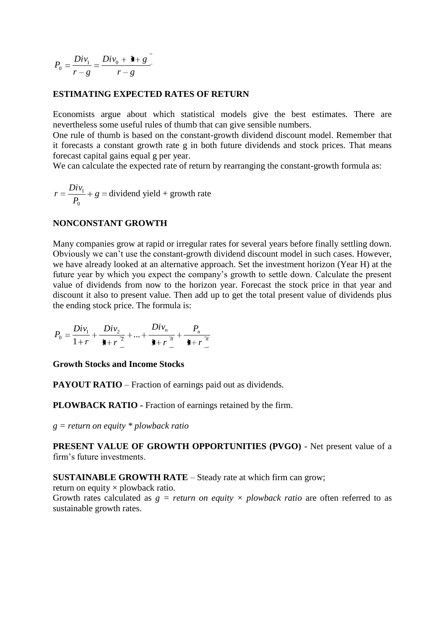$$
P_0 = \frac{Div_1}{r - g} = \frac{Div_0 + 1 + g}{r - g}
$$

### **ESTIMATING EXPECTED RATES OF RETURN**

Economists argue about which statistical models give the best estimates. There are nevertheless some useful rules of thumb that can give sensible numbers.

One rule of thumb is based on the constant-growth dividend discount model. Remember that it forecasts a constant growth rate g in both future dividends and stock prices. That means forecast capital gains equal g per year.

We can calculate the expected rate of return by rearranging the constant-growth formula as:

$$
r = \frac{Div_1}{P_0} + g = \text{dividend yield} + \text{growth rate}
$$

#### **NONCONSTANT GROWTH**

Many companies grow at rapid or irregular rates for several years before finally settling down. Obviously we can't use the constant-growth dividend discount model in such cases. However, we have already looked at an alternative approach. Set the investment horizon (Year H) at the future year by which you expect the company's growth to settle down. Calculate the present value of dividends from now to the horizon year. Forecast the stock price in that year and discount it also to present value. Then add up to get the total present value of dividends plus the ending stock price. The formula is:

$$
P_0 = \frac{Div_1}{1+r} + \frac{Div_2}{1+r^2} + \dots + \frac{Div_n}{1+r^2} + \frac{P_n}{1+r^2}
$$

**Growth Stocks and Income Stocks**

**PAYOUT RATIO** – Fraction of earnings paid out as dividends.

**PLOWBACK RATIO -** Fraction of earnings retained by the firm.

*g = return on equity \* plowback ratio*

**PRESENT VALUE OF GROWTH OPPORTUNITIES (PVGO)** - Net present value of a firm's future investments.

**SUSTAINABLE GROWTH RATE** – Steady rate at which firm can grow;

return on equity  $\times$  plowback ratio.

Growth rates calculated as  $g = return on equity \times plowback ratio$  are often referred to as sustainable growth rates.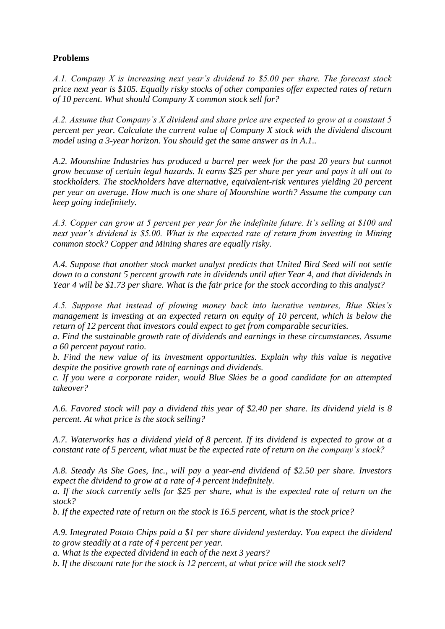# **Problems**

*A.1. Company X is increasing next year's dividend to \$5.00 per share. The forecast stock price next year is \$105. Equally risky stocks of other companies offer expected rates of return of 10 percent. What should Company X common stock sell for?*

*A.2. Assume that Company's X dividend and share price are expected to grow at a constant 5 percent per year. Calculate the current value of Company X stock with the dividend discount model using a 3-year horizon. You should get the same answer as in A.1..*

*A.2. Moonshine Industries has produced a barrel per week for the past 20 years but cannot grow because of certain legal hazards. It earns \$25 per share per year and pays it all out to stockholders. The stockholders have alternative, equivalent-risk ventures yielding 20 percent per year on average. How much is one share of Moonshine worth? Assume the company can keep going indefinitely.*

*A.3. Copper can grow at 5 percent per year for the indefinite future. It's selling at \$100 and next year's dividend is \$5.00. What is the expected rate of return from investing in Mining common stock? Copper and Mining shares are equally risky.*

*A.4. Suppose that another stock market analyst predicts that United Bird Seed will not settle down to a constant 5 percent growth rate in dividends until after Year 4, and that dividends in Year 4 will be \$1.73 per share. What is the fair price for the stock according to this analyst?*

*A.5. Suppose that instead of plowing money back into lucrative ventures, Blue Skies's management is investing at an expected return on equity of 10 percent, which is below the return of 12 percent that investors could expect to get from comparable securities.*

*a. Find the sustainable growth rate of dividends and earnings in these circumstances. Assume a 60 percent payout ratio.*

*b. Find the new value of its investment opportunities. Explain why this value is negative despite the positive growth rate of earnings and dividends.*

*c. If you were a corporate raider, would Blue Skies be a good candidate for an attempted takeover?*

*A.6. Favored stock will pay a dividend this year of \$2.40 per share. Its dividend yield is 8 percent. At what price is the stock selling?*

*A.7. Waterworks has a dividend yield of 8 percent. If its dividend is expected to grow at a constant rate of 5 percent, what must be the expected rate of return on the company's stock?*

*A.8. Steady As She Goes, Inc., will pay a year-end dividend of \$2.50 per share. Investors expect the dividend to grow at a rate of 4 percent indefinitely.*

*a. If the stock currently sells for \$25 per share, what is the expected rate of return on the stock?*

*b. If the expected rate of return on the stock is 16.5 percent, what is the stock price?*

*A.9. Integrated Potato Chips paid a \$1 per share dividend yesterday. You expect the dividend to grow steadily at a rate of 4 percent per year.*

*a. What is the expected dividend in each of the next 3 years?*

*b. If the discount rate for the stock is 12 percent, at what price will the stock sell?*